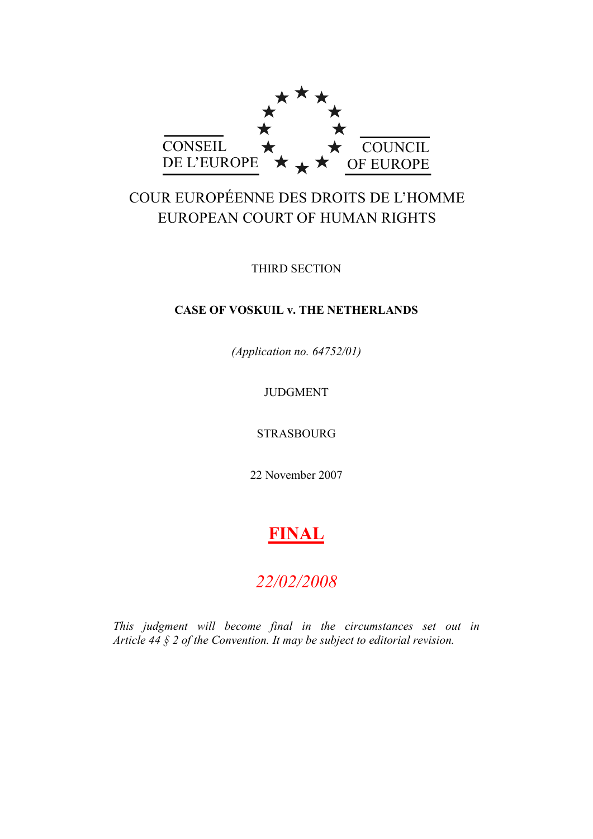

# COUR EUROPÉENNE DES DROITS DE L'HOMME EUROPEAN COURT OF HUMAN RIGHTS

THIRD SECTION

# **CASE OF VOSKUIL v. THE NETHERLANDS**

*(Application no. 64752/01)*

JUDGMENT

STRASBOURG

22 November 2007

# **FINAL**

# *22/02/2008*

*This judgment will become final in the circumstances set out in Article 44 § 2 of the Convention. It may be subject to editorial revision.*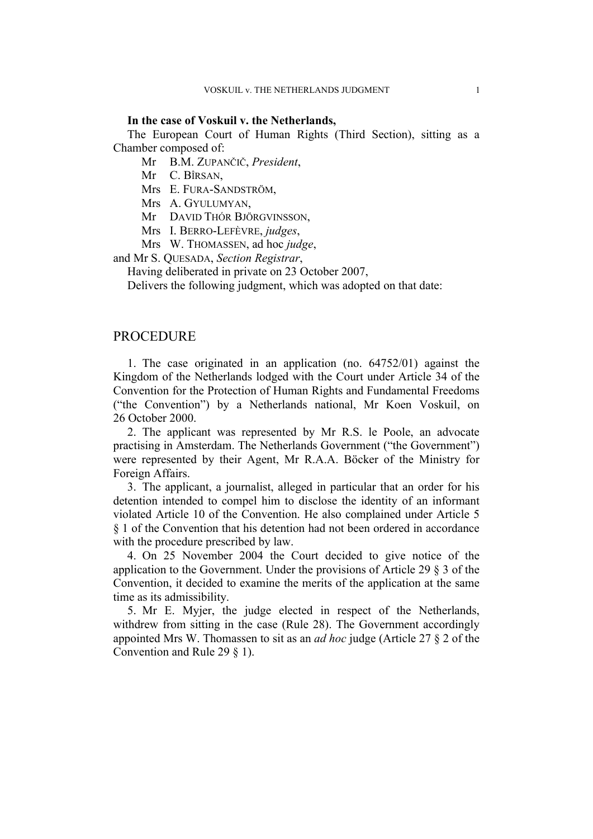# **In the case of Voskuil v. the Netherlands,**

The European Court of Human Rights (Third Section), sitting as a Chamber composed of:

Mr B.M. ZUPANČIČ, *President*,

Mr C. BÎRSAN,

Mrs E. FURA-SANDSTRÖM,

Mrs A. GYULUMYAN,

Mr DAVID THÓR BJÖRGVINSSON,

Mrs I. BERRO-LEFÈVRE, *judges*,

Mrs W. THOMASSEN, ad hoc *judge*,

and Mr S. QUESADA, *Section Registrar*,

Having deliberated in private on 23 October 2007,

Delivers the following judgment, which was adopted on that date:

# **PROCEDURE**

1. The case originated in an application (no. 64752/01) against the Kingdom of the Netherlands lodged with the Court under Article 34 of the Convention for the Protection of Human Rights and Fundamental Freedoms ("the Convention") by a Netherlands national, Mr Koen Voskuil, on 26 October 2000.

2. The applicant was represented by Mr R.S. le Poole, an advocate practising in Amsterdam. The Netherlands Government ("the Government") were represented by their Agent, Mr R.A.A. Böcker of the Ministry for Foreign Affairs.

3. The applicant, a journalist, alleged in particular that an order for his detention intended to compel him to disclose the identity of an informant violated Article 10 of the Convention. He also complained under Article 5 § 1 of the Convention that his detention had not been ordered in accordance with the procedure prescribed by law.

4. On 25 November 2004 the Court decided to give notice of the application to the Government. Under the provisions of Article 29 § 3 of the Convention, it decided to examine the merits of the application at the same time as its admissibility.

5. Mr E. Myjer, the judge elected in respect of the Netherlands, withdrew from sitting in the case (Rule 28). The Government accordingly appointed Mrs W. Thomassen to sit as an *ad hoc* judge (Article 27 § 2 of the Convention and Rule 29 § 1).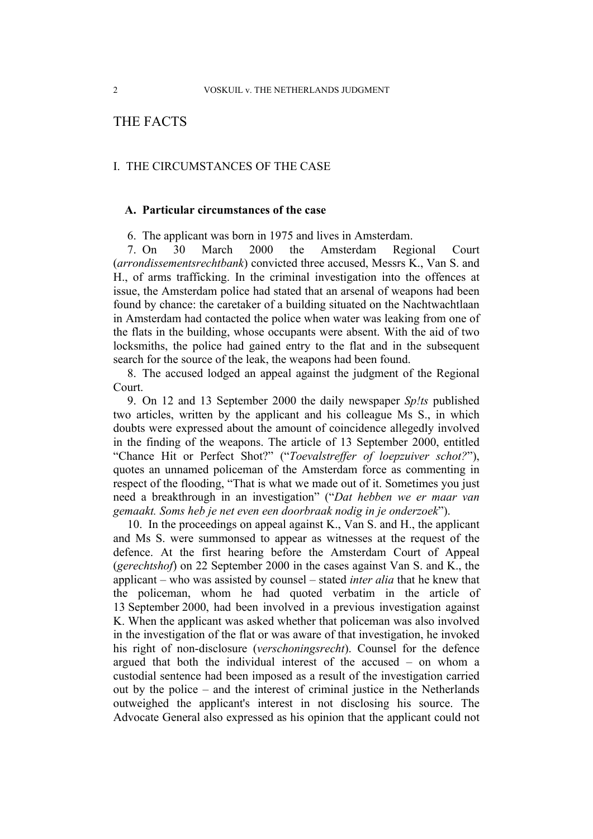# THE FACTS

# I. THE CIRCUMSTANCES OF THE CASE

#### **A. Particular circumstances of the case**

6. The applicant was born in 1975 and lives in Amsterdam.

7. On 30 March 2000 the Amsterdam Regional Court (*arrondissementsrechtbank*) convicted three accused, Messrs K., Van S. and H., of arms trafficking. In the criminal investigation into the offences at issue, the Amsterdam police had stated that an arsenal of weapons had been found by chance: the caretaker of a building situated on the Nachtwachtlaan in Amsterdam had contacted the police when water was leaking from one of the flats in the building, whose occupants were absent. With the aid of two locksmiths, the police had gained entry to the flat and in the subsequent search for the source of the leak, the weapons had been found.

8. The accused lodged an appeal against the judgment of the Regional Court.

9. On 12 and 13 September 2000 the daily newspaper *Sp!ts* published two articles, written by the applicant and his colleague Ms S., in which doubts were expressed about the amount of coincidence allegedly involved in the finding of the weapons. The article of 13 September 2000, entitled "Chance Hit or Perfect Shot?" ("*Toevalstreffer of loepzuiver schot?*"), quotes an unnamed policeman of the Amsterdam force as commenting in respect of the flooding, "That is what we made out of it. Sometimes you just need a breakthrough in an investigation" ("*Dat hebben we er maar van gemaakt. Soms heb je net even een doorbraak nodig in je onderzoek*").

10. In the proceedings on appeal against K., Van S. and H., the applicant and Ms S. were summonsed to appear as witnesses at the request of the defence. At the first hearing before the Amsterdam Court of Appeal (*gerechtshof*) on 22 September 2000 in the cases against Van S. and K., the applicant – who was assisted by counsel – stated *inter alia* that he knew that the policeman, whom he had quoted verbatim in the article of 13 September 2000, had been involved in a previous investigation against K. When the applicant was asked whether that policeman was also involved in the investigation of the flat or was aware of that investigation, he invoked his right of non-disclosure (*verschoningsrecht*). Counsel for the defence argued that both the individual interest of the accused – on whom a custodial sentence had been imposed as a result of the investigation carried out by the police – and the interest of criminal justice in the Netherlands outweighed the applicant's interest in not disclosing his source. The Advocate General also expressed as his opinion that the applicant could not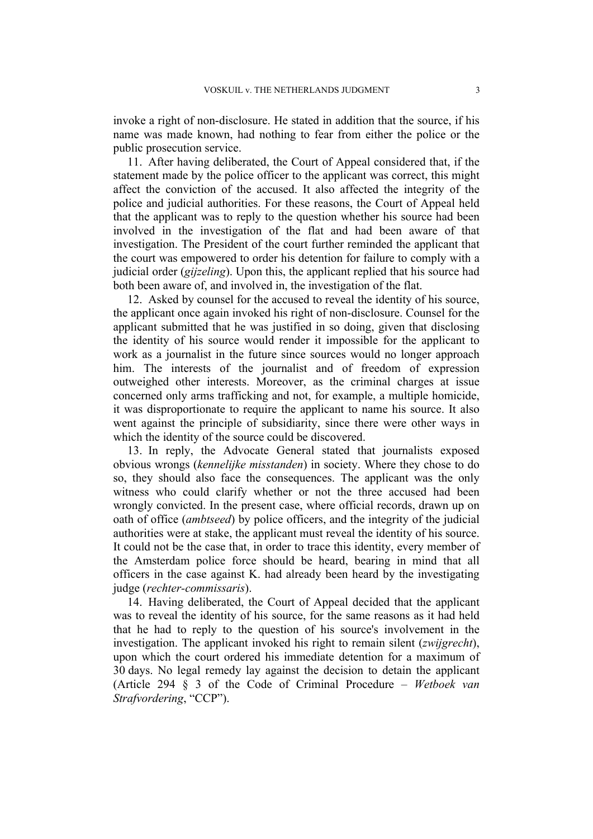invoke a right of non-disclosure. He stated in addition that the source, if his name was made known, had nothing to fear from either the police or the public prosecution service.

11. After having deliberated, the Court of Appeal considered that, if the statement made by the police officer to the applicant was correct, this might affect the conviction of the accused. It also affected the integrity of the police and judicial authorities. For these reasons, the Court of Appeal held that the applicant was to reply to the question whether his source had been involved in the investigation of the flat and had been aware of that investigation. The President of the court further reminded the applicant that the court was empowered to order his detention for failure to comply with a judicial order (*gijzeling*). Upon this, the applicant replied that his source had both been aware of, and involved in, the investigation of the flat.

12. Asked by counsel for the accused to reveal the identity of his source, the applicant once again invoked his right of non-disclosure. Counsel for the applicant submitted that he was justified in so doing, given that disclosing the identity of his source would render it impossible for the applicant to work as a journalist in the future since sources would no longer approach him. The interests of the journalist and of freedom of expression outweighed other interests. Moreover, as the criminal charges at issue concerned only arms trafficking and not, for example, a multiple homicide, it was disproportionate to require the applicant to name his source. It also went against the principle of subsidiarity, since there were other ways in which the identity of the source could be discovered.

13. In reply, the Advocate General stated that journalists exposed obvious wrongs (*kennelijke misstanden*) in society. Where they chose to do so, they should also face the consequences. The applicant was the only witness who could clarify whether or not the three accused had been wrongly convicted. In the present case, where official records, drawn up on oath of office (*ambtseed*) by police officers, and the integrity of the judicial authorities were at stake, the applicant must reveal the identity of his source. It could not be the case that, in order to trace this identity, every member of the Amsterdam police force should be heard, bearing in mind that all officers in the case against K. had already been heard by the investigating judge (*rechter-commissaris*).

14. Having deliberated, the Court of Appeal decided that the applicant was to reveal the identity of his source, for the same reasons as it had held that he had to reply to the question of his source's involvement in the investigation. The applicant invoked his right to remain silent (*zwijgrecht*), upon which the court ordered his immediate detention for a maximum of 30 days. No legal remedy lay against the decision to detain the applicant (Article 294 § 3 of the Code of Criminal Procedure – *Wetboek van Strafvordering*, "CCP").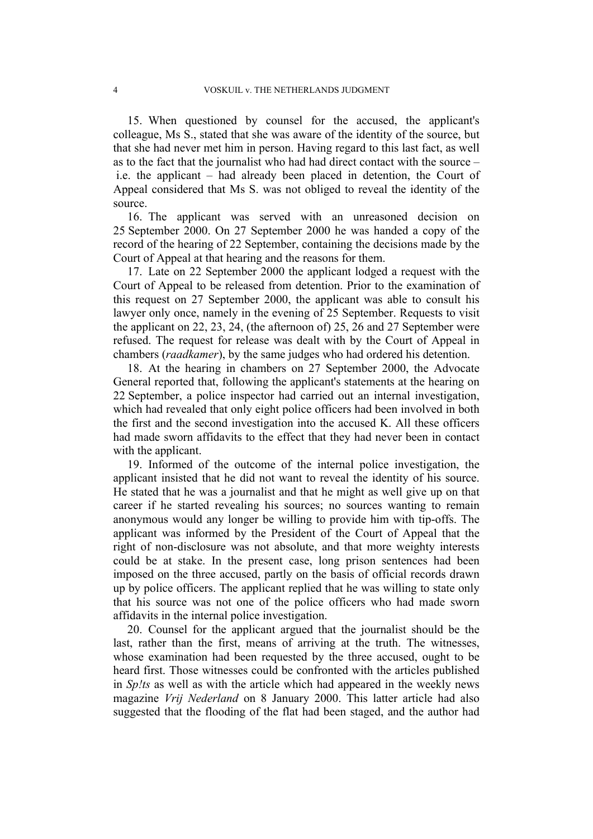15. When questioned by counsel for the accused, the applicant's colleague, Ms S., stated that she was aware of the identity of the source, but that she had never met him in person. Having regard to this last fact, as well as to the fact that the journalist who had had direct contact with the source – i.e. the applicant – had already been placed in detention, the Court of Appeal considered that Ms S. was not obliged to reveal the identity of the source.

16. The applicant was served with an unreasoned decision on 25 September 2000. On 27 September 2000 he was handed a copy of the record of the hearing of 22 September, containing the decisions made by the Court of Appeal at that hearing and the reasons for them.

17. Late on 22 September 2000 the applicant lodged a request with the Court of Appeal to be released from detention. Prior to the examination of this request on 27 September 2000, the applicant was able to consult his lawyer only once, namely in the evening of 25 September. Requests to visit the applicant on 22, 23, 24, (the afternoon of) 25, 26 and 27 September were refused. The request for release was dealt with by the Court of Appeal in chambers (*raadkamer*), by the same judges who had ordered his detention.

18. At the hearing in chambers on 27 September 2000, the Advocate General reported that, following the applicant's statements at the hearing on 22 September, a police inspector had carried out an internal investigation, which had revealed that only eight police officers had been involved in both the first and the second investigation into the accused K. All these officers had made sworn affidavits to the effect that they had never been in contact with the applicant.

19. Informed of the outcome of the internal police investigation, the applicant insisted that he did not want to reveal the identity of his source. He stated that he was a journalist and that he might as well give up on that career if he started revealing his sources; no sources wanting to remain anonymous would any longer be willing to provide him with tip-offs. The applicant was informed by the President of the Court of Appeal that the right of non-disclosure was not absolute, and that more weighty interests could be at stake. In the present case, long prison sentences had been imposed on the three accused, partly on the basis of official records drawn up by police officers. The applicant replied that he was willing to state only that his source was not one of the police officers who had made sworn affidavits in the internal police investigation.

20. Counsel for the applicant argued that the journalist should be the last, rather than the first, means of arriving at the truth. The witnesses, whose examination had been requested by the three accused, ought to be heard first. Those witnesses could be confronted with the articles published in *Sp!ts* as well as with the article which had appeared in the weekly news magazine *Vrij Nederland* on 8 January 2000. This latter article had also suggested that the flooding of the flat had been staged, and the author had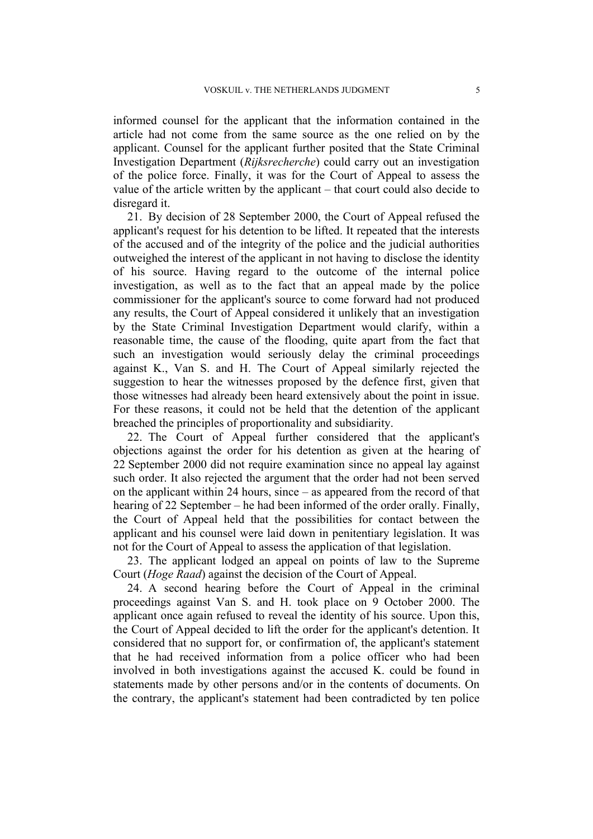informed counsel for the applicant that the information contained in the article had not come from the same source as the one relied on by the applicant. Counsel for the applicant further posited that the State Criminal Investigation Department (*Rijksrecherche*) could carry out an investigation of the police force. Finally, it was for the Court of Appeal to assess the value of the article written by the applicant – that court could also decide to disregard it.

21. By decision of 28 September 2000, the Court of Appeal refused the applicant's request for his detention to be lifted. It repeated that the interests of the accused and of the integrity of the police and the judicial authorities outweighed the interest of the applicant in not having to disclose the identity of his source. Having regard to the outcome of the internal police investigation, as well as to the fact that an appeal made by the police commissioner for the applicant's source to come forward had not produced any results, the Court of Appeal considered it unlikely that an investigation by the State Criminal Investigation Department would clarify, within a reasonable time, the cause of the flooding, quite apart from the fact that such an investigation would seriously delay the criminal proceedings against K., Van S. and H. The Court of Appeal similarly rejected the suggestion to hear the witnesses proposed by the defence first, given that those witnesses had already been heard extensively about the point in issue. For these reasons, it could not be held that the detention of the applicant breached the principles of proportionality and subsidiarity.

22. The Court of Appeal further considered that the applicant's objections against the order for his detention as given at the hearing of 22 September 2000 did not require examination since no appeal lay against such order. It also rejected the argument that the order had not been served on the applicant within 24 hours, since – as appeared from the record of that hearing of 22 September – he had been informed of the order orally. Finally, the Court of Appeal held that the possibilities for contact between the applicant and his counsel were laid down in penitentiary legislation. It was not for the Court of Appeal to assess the application of that legislation.

23. The applicant lodged an appeal on points of law to the Supreme Court (*Hoge Raad*) against the decision of the Court of Appeal.

24. A second hearing before the Court of Appeal in the criminal proceedings against Van S. and H. took place on 9 October 2000. The applicant once again refused to reveal the identity of his source. Upon this, the Court of Appeal decided to lift the order for the applicant's detention. It considered that no support for, or confirmation of, the applicant's statement that he had received information from a police officer who had been involved in both investigations against the accused K. could be found in statements made by other persons and/or in the contents of documents. On the contrary, the applicant's statement had been contradicted by ten police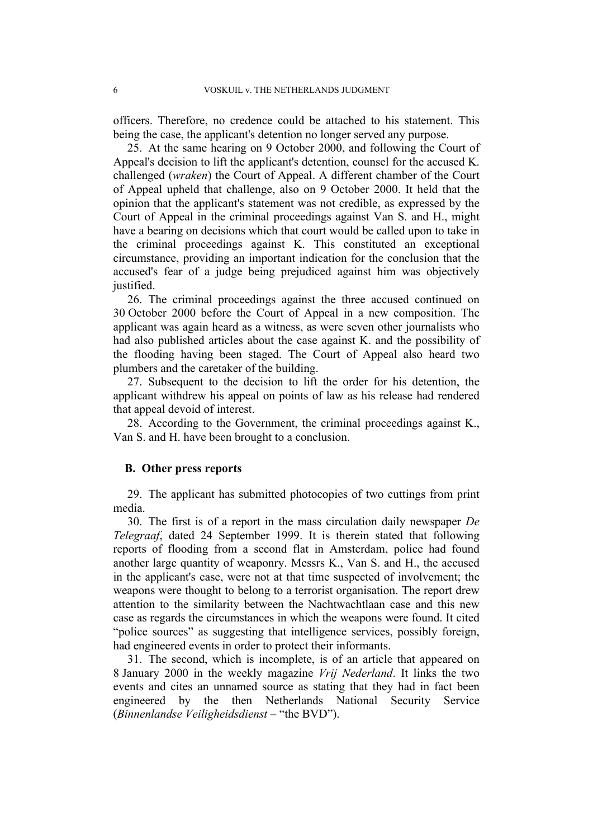officers. Therefore, no credence could be attached to his statement. This being the case, the applicant's detention no longer served any purpose.

25. At the same hearing on 9 October 2000, and following the Court of Appeal's decision to lift the applicant's detention, counsel for the accused K. challenged (*wraken*) the Court of Appeal. A different chamber of the Court of Appeal upheld that challenge, also on 9 October 2000. It held that the opinion that the applicant's statement was not credible, as expressed by the Court of Appeal in the criminal proceedings against Van S. and H., might have a bearing on decisions which that court would be called upon to take in the criminal proceedings against K. This constituted an exceptional circumstance, providing an important indication for the conclusion that the accused's fear of a judge being prejudiced against him was objectively justified.

26. The criminal proceedings against the three accused continued on 30 October 2000 before the Court of Appeal in a new composition. The applicant was again heard as a witness, as were seven other journalists who had also published articles about the case against K. and the possibility of the flooding having been staged. The Court of Appeal also heard two plumbers and the caretaker of the building.

27. Subsequent to the decision to lift the order for his detention, the applicant withdrew his appeal on points of law as his release had rendered that appeal devoid of interest.

28. According to the Government, the criminal proceedings against K., Van S. and H. have been brought to a conclusion.

# **B. Other press reports**

29. The applicant has submitted photocopies of two cuttings from print media.

30. The first is of a report in the mass circulation daily newspaper *De Telegraaf*, dated 24 September 1999. It is therein stated that following reports of flooding from a second flat in Amsterdam, police had found another large quantity of weaponry. Messrs K., Van S. and H., the accused in the applicant's case, were not at that time suspected of involvement; the weapons were thought to belong to a terrorist organisation. The report drew attention to the similarity between the Nachtwachtlaan case and this new case as regards the circumstances in which the weapons were found. It cited "police sources" as suggesting that intelligence services, possibly foreign, had engineered events in order to protect their informants.

31. The second, which is incomplete, is of an article that appeared on 8 January 2000 in the weekly magazine *Vrij Nederland*. It links the two events and cites an unnamed source as stating that they had in fact been engineered by the then Netherlands National Security Service (*Binnenlandse Veiligheidsdienst* – "the BVD").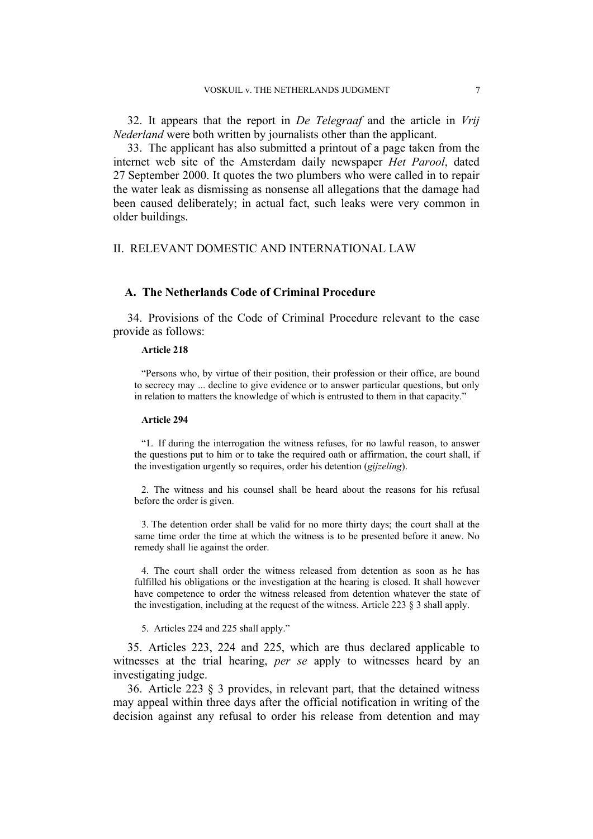32. It appears that the report in *De Telegraaf* and the article in *Vrij Nederland* were both written by journalists other than the applicant.

33. The applicant has also submitted a printout of a page taken from the internet web site of the Amsterdam daily newspaper *Het Parool*, dated 27 September 2000. It quotes the two plumbers who were called in to repair the water leak as dismissing as nonsense all allegations that the damage had been caused deliberately; in actual fact, such leaks were very common in older buildings.

## II. RELEVANT DOMESTIC AND INTERNATIONAL LAW

## **A. The Netherlands Code of Criminal Procedure**

34. Provisions of the Code of Criminal Procedure relevant to the case provide as follows:

#### **Article 218**

"Persons who, by virtue of their position, their profession or their office, are bound to secrecy may ... decline to give evidence or to answer particular questions, but only in relation to matters the knowledge of which is entrusted to them in that capacity."

#### **Article 294**

"1. If during the interrogation the witness refuses, for no lawful reason, to answer the questions put to him or to take the required oath or affirmation, the court shall, if the investigation urgently so requires, order his detention (*gijzeling*).

2. The witness and his counsel shall be heard about the reasons for his refusal before the order is given.

3. The detention order shall be valid for no more thirty days; the court shall at the same time order the time at which the witness is to be presented before it anew. No remedy shall lie against the order.

4. The court shall order the witness released from detention as soon as he has fulfilled his obligations or the investigation at the hearing is closed. It shall however have competence to order the witness released from detention whatever the state of the investigation, including at the request of the witness. Article 223 § 3 shall apply.

5. Articles 224 and 225 shall apply."

35. Articles 223, 224 and 225, which are thus declared applicable to witnesses at the trial hearing, *per se* apply to witnesses heard by an investigating judge.

36. Article 223 § 3 provides, in relevant part, that the detained witness may appeal within three days after the official notification in writing of the decision against any refusal to order his release from detention and may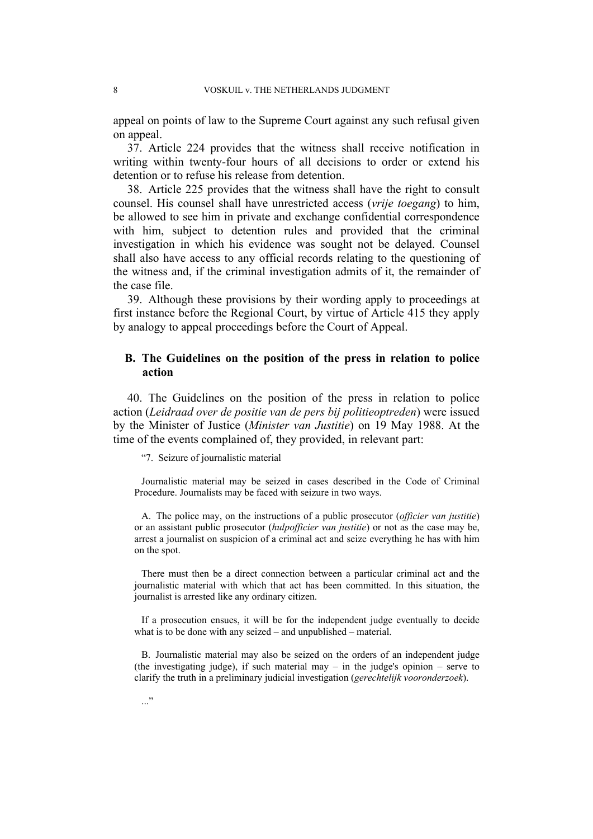appeal on points of law to the Supreme Court against any such refusal given on appeal.

37. Article 224 provides that the witness shall receive notification in writing within twenty-four hours of all decisions to order or extend his detention or to refuse his release from detention.

38. Article 225 provides that the witness shall have the right to consult counsel. His counsel shall have unrestricted access (*vrije toegang*) to him, be allowed to see him in private and exchange confidential correspondence with him, subject to detention rules and provided that the criminal investigation in which his evidence was sought not be delayed. Counsel shall also have access to any official records relating to the questioning of the witness and, if the criminal investigation admits of it, the remainder of the case file.

39. Although these provisions by their wording apply to proceedings at first instance before the Regional Court, by virtue of Article 415 they apply by analogy to appeal proceedings before the Court of Appeal.

# **B. The Guidelines on the position of the press in relation to police action**

40. The Guidelines on the position of the press in relation to police action (*Leidraad over de positie van de pers bij politieoptreden*) were issued by the Minister of Justice (*Minister van Justitie*) on 19 May 1988. At the time of the events complained of, they provided, in relevant part:

"7. Seizure of journalistic material

Journalistic material may be seized in cases described in the Code of Criminal Procedure. Journalists may be faced with seizure in two ways.

A. The police may, on the instructions of a public prosecutor (*officier van justitie*) or an assistant public prosecutor (*hulpofficier van justitie*) or not as the case may be, arrest a journalist on suspicion of a criminal act and seize everything he has with him on the spot.

There must then be a direct connection between a particular criminal act and the journalistic material with which that act has been committed. In this situation, the journalist is arrested like any ordinary citizen.

If a prosecution ensues, it will be for the independent judge eventually to decide what is to be done with any seized – and unpublished – material.

B. Journalistic material may also be seized on the orders of an independent judge (the investigating judge), if such material may – in the judge's opinion – serve to clarify the truth in a preliminary judicial investigation (*gerechtelijk vooronderzoek*).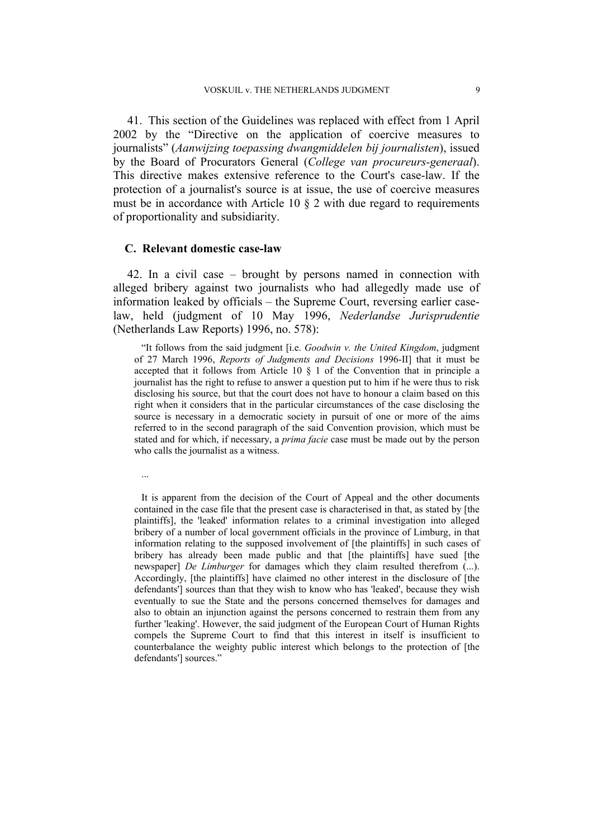41. This section of the Guidelines was replaced with effect from 1 April 2002 by the "Directive on the application of coercive measures to journalists" (*Aanwijzing toepassing dwangmiddelen bij journalisten*), issued by the Board of Procurators General (*College van procureurs-generaal*). This directive makes extensive reference to the Court's case-law. If the protection of a journalist's source is at issue, the use of coercive measures must be in accordance with Article 10 § 2 with due regard to requirements of proportionality and subsidiarity.

## **C. Relevant domestic case-law**

42. In a civil case – brought by persons named in connection with alleged bribery against two journalists who had allegedly made use of information leaked by officials – the Supreme Court, reversing earlier caselaw, held (judgment of 10 May 1996, *Nederlandse Jurisprudentie* (Netherlands Law Reports) 1996, no. 578):

"It follows from the said judgment [i.e. *Goodwin v. the United Kingdom*, judgment of 27 March 1996, *Reports of Judgments and Decisions* 1996-II] that it must be accepted that it follows from Article 10 § 1 of the Convention that in principle a journalist has the right to refuse to answer a question put to him if he were thus to risk disclosing his source, but that the court does not have to honour a claim based on this right when it considers that in the particular circumstances of the case disclosing the source is necessary in a democratic society in pursuit of one or more of the aims referred to in the second paragraph of the said Convention provision, which must be stated and for which, if necessary, a *prima facie* case must be made out by the person who calls the journalist as a witness.

...

It is apparent from the decision of the Court of Appeal and the other documents contained in the case file that the present case is characterised in that, as stated by [the plaintiffs], the 'leaked' information relates to a criminal investigation into alleged bribery of a number of local government officials in the province of Limburg, in that information relating to the supposed involvement of [the plaintiffs] in such cases of bribery has already been made public and that [the plaintiffs] have sued [the newspaper] *De Limburger* for damages which they claim resulted therefrom (...). Accordingly, [the plaintiffs] have claimed no other interest in the disclosure of [the defendants'] sources than that they wish to know who has 'leaked', because they wish eventually to sue the State and the persons concerned themselves for damages and also to obtain an injunction against the persons concerned to restrain them from any further 'leaking'. However, the said judgment of the European Court of Human Rights compels the Supreme Court to find that this interest in itself is insufficient to counterbalance the weighty public interest which belongs to the protection of [the defendants'] sources."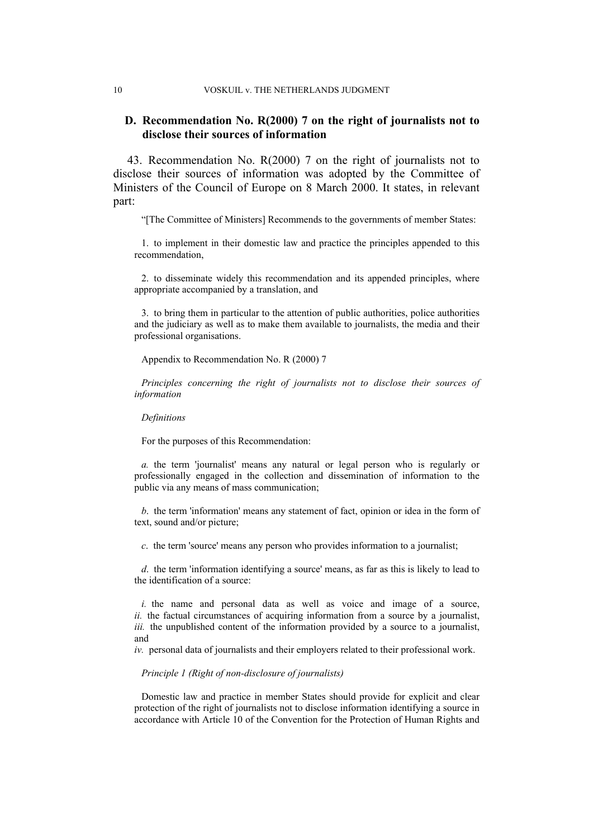# **D. Recommendation No. R(2000) 7 on the right of journalists not to disclose their sources of information**

43. Recommendation No. R(2000) 7 on the right of journalists not to disclose their sources of information was adopted by the Committee of Ministers of the Council of Europe on 8 March 2000. It states, in relevant part:

"[The Committee of Ministers] Recommends to the governments of member States:

1. to implement in their domestic law and practice the principles appended to this recommendation,

2. to disseminate widely this recommendation and its appended principles, where appropriate accompanied by a translation, and

3. to bring them in particular to the attention of public authorities, police authorities and the judiciary as well as to make them available to journalists, the media and their professional organisations.

Appendix to Recommendation No. R (2000) 7

*Principles concerning the right of journalists not to disclose their sources of information*

*Definitions*

For the purposes of this Recommendation:

*a.* the term 'journalist' means any natural or legal person who is regularly or professionally engaged in the collection and dissemination of information to the public via any means of mass communication;

*b*. the term 'information' means any statement of fact, opinion or idea in the form of text, sound and/or picture;

*c*. the term 'source' means any person who provides information to a journalist;

*d*. the term 'information identifying a source' means, as far as this is likely to lead to the identification of a source:

*i.* the name and personal data as well as voice and image of a source, *ii.* the factual circumstances of acquiring information from a source by a journalist, *iii.* the unpublished content of the information provided by a source to a journalist, and

*iv.* personal data of journalists and their employers related to their professional work.

#### *Principle 1 (Right of non-disclosure of journalists)*

Domestic law and practice in member States should provide for explicit and clear protection of the right of journalists not to disclose information identifying a source in accordance with Article 10 of the Convention for the Protection of Human Rights and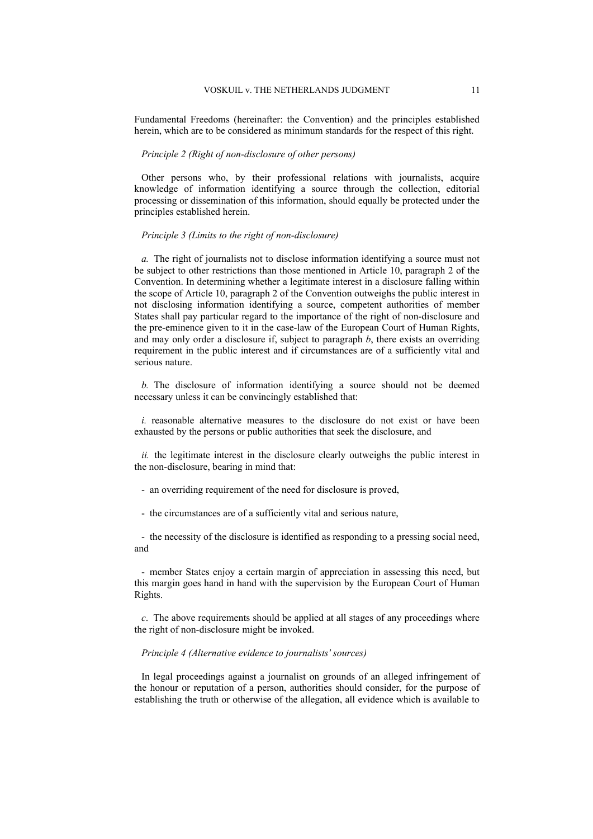Fundamental Freedoms (hereinafter: the Convention) and the principles established herein, which are to be considered as minimum standards for the respect of this right.

#### *Principle 2 (Right of non-disclosure of other persons)*

Other persons who, by their professional relations with journalists, acquire knowledge of information identifying a source through the collection, editorial processing or dissemination of this information, should equally be protected under the principles established herein.

#### *Principle 3 (Limits to the right of non-disclosure)*

*a.* The right of journalists not to disclose information identifying a source must not be subject to other restrictions than those mentioned in Article 10, paragraph 2 of the Convention. In determining whether a legitimate interest in a disclosure falling within the scope of Article 10, paragraph 2 of the Convention outweighs the public interest in not disclosing information identifying a source, competent authorities of member States shall pay particular regard to the importance of the right of non-disclosure and the pre-eminence given to it in the case-law of the European Court of Human Rights, and may only order a disclosure if, subject to paragraph *b*, there exists an overriding requirement in the public interest and if circumstances are of a sufficiently vital and serious nature.

*b.* The disclosure of information identifying a source should not be deemed necessary unless it can be convincingly established that:

*i.* reasonable alternative measures to the disclosure do not exist or have been exhausted by the persons or public authorities that seek the disclosure, and

*ii.* the legitimate interest in the disclosure clearly outweighs the public interest in the non-disclosure, bearing in mind that:

- an overriding requirement of the need for disclosure is proved,
- the circumstances are of a sufficiently vital and serious nature,

- the necessity of the disclosure is identified as responding to a pressing social need, and

- member States enjoy a certain margin of appreciation in assessing this need, but this margin goes hand in hand with the supervision by the European Court of Human Rights.

*c*. The above requirements should be applied at all stages of any proceedings where the right of non-disclosure might be invoked.

#### *Principle 4 (Alternative evidence to journalists' sources)*

In legal proceedings against a journalist on grounds of an alleged infringement of the honour or reputation of a person, authorities should consider, for the purpose of establishing the truth or otherwise of the allegation, all evidence which is available to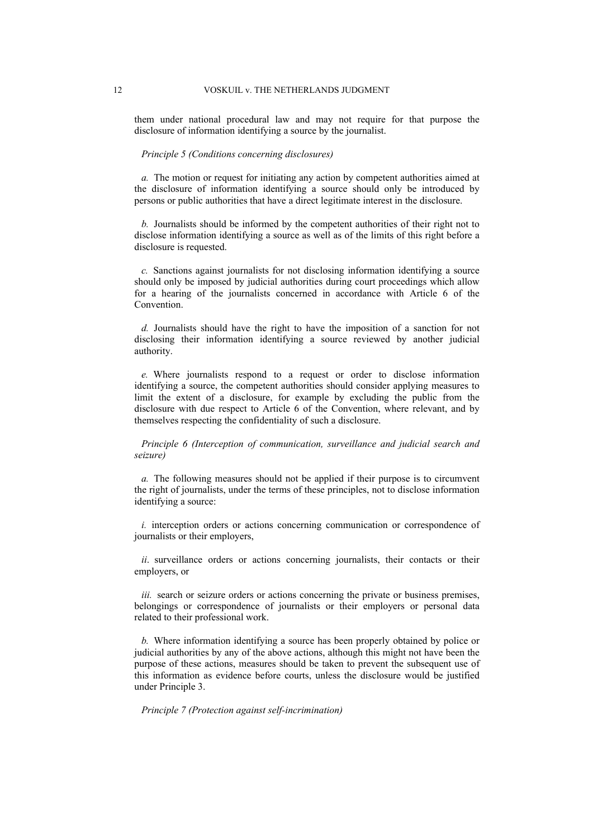them under national procedural law and may not require for that purpose the disclosure of information identifying a source by the journalist.

#### *Principle 5 (Conditions concerning disclosures)*

*a.* The motion or request for initiating any action by competent authorities aimed at the disclosure of information identifying a source should only be introduced by persons or public authorities that have a direct legitimate interest in the disclosure.

*b.* Journalists should be informed by the competent authorities of their right not to disclose information identifying a source as well as of the limits of this right before a disclosure is requested.

*c.* Sanctions against journalists for not disclosing information identifying a source should only be imposed by judicial authorities during court proceedings which allow for a hearing of the journalists concerned in accordance with Article 6 of the Convention.

*d.* Journalists should have the right to have the imposition of a sanction for not disclosing their information identifying a source reviewed by another judicial authority.

*e.* Where journalists respond to a request or order to disclose information identifying a source, the competent authorities should consider applying measures to limit the extent of a disclosure, for example by excluding the public from the disclosure with due respect to Article 6 of the Convention, where relevant, and by themselves respecting the confidentiality of such a disclosure.

*Principle 6 (Interception of communication, surveillance and judicial search and seizure)*

*a.* The following measures should not be applied if their purpose is to circumvent the right of journalists, under the terms of these principles, not to disclose information identifying a source:

*i.* interception orders or actions concerning communication or correspondence of journalists or their employers,

*ii*. surveillance orders or actions concerning journalists, their contacts or their employers, or

*iii.* search or seizure orders or actions concerning the private or business premises, belongings or correspondence of journalists or their employers or personal data related to their professional work.

*b.* Where information identifying a source has been properly obtained by police or judicial authorities by any of the above actions, although this might not have been the purpose of these actions, measures should be taken to prevent the subsequent use of this information as evidence before courts, unless the disclosure would be justified under Principle 3.

*Principle 7 (Protection against self-incrimination)*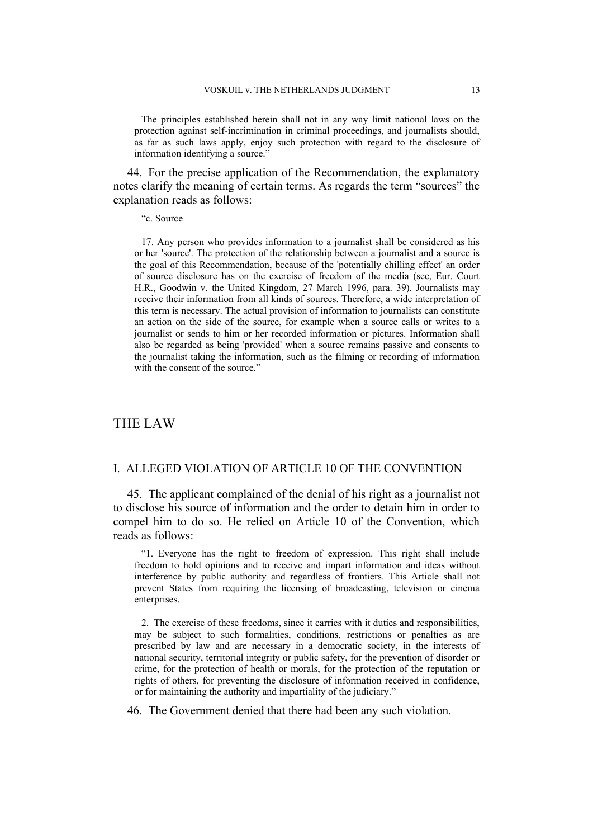The principles established herein shall not in any way limit national laws on the protection against self-incrimination in criminal proceedings, and journalists should, as far as such laws apply, enjoy such protection with regard to the disclosure of information identifying a source."

44. For the precise application of the Recommendation, the explanatory notes clarify the meaning of certain terms. As regards the term "sources" the explanation reads as follows:

"c. Source

17. Any person who provides information to a journalist shall be considered as his or her 'source'. The protection of the relationship between a journalist and a source is the goal of this Recommendation, because of the 'potentially chilling effect' an order of source disclosure has on the exercise of freedom of the media (see, Eur. Court H.R., Goodwin v. the United Kingdom, 27 March 1996, para. 39). Journalists may receive their information from all kinds of sources. Therefore, a wide interpretation of this term is necessary. The actual provision of information to journalists can constitute an action on the side of the source, for example when a source calls or writes to a journalist or sends to him or her recorded information or pictures. Information shall also be regarded as being 'provided' when a source remains passive and consents to the journalist taking the information, such as the filming or recording of information with the consent of the source."

# THE LAW

# I. ALLEGED VIOLATION OF ARTICLE 10 OF THE CONVENTION

45. The applicant complained of the denial of his right as a journalist not to disclose his source of information and the order to detain him in order to compel him to do so. He relied on Article 10 of the Convention, which reads as follows:

"1. Everyone has the right to freedom of expression. This right shall include freedom to hold opinions and to receive and impart information and ideas without interference by public authority and regardless of frontiers. This Article shall not prevent States from requiring the licensing of broadcasting, television or cinema enterprises.

2. The exercise of these freedoms, since it carries with it duties and responsibilities, may be subject to such formalities, conditions, restrictions or penalties as are prescribed by law and are necessary in a democratic society, in the interests of national security, territorial integrity or public safety, for the prevention of disorder or crime, for the protection of health or morals, for the protection of the reputation or rights of others, for preventing the disclosure of information received in confidence, or for maintaining the authority and impartiality of the judiciary."

46. The Government denied that there had been any such violation.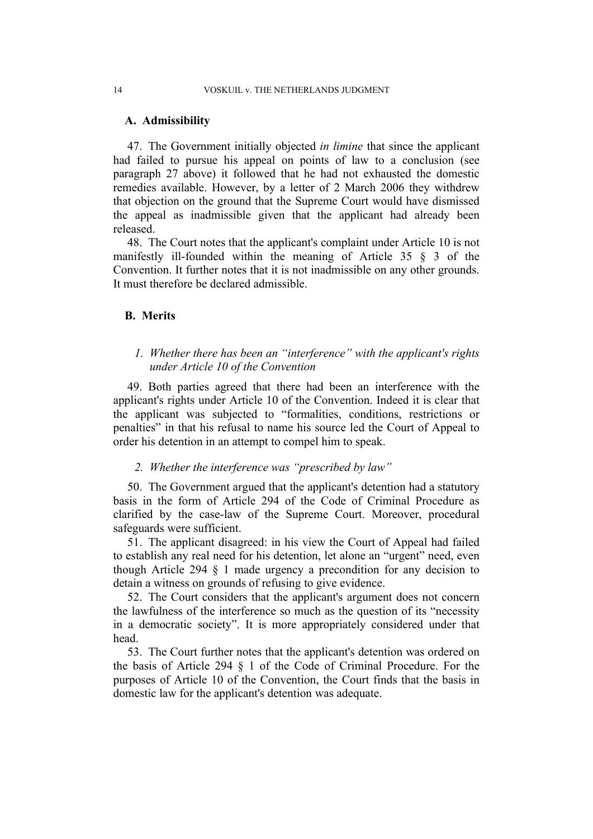## **A. Admissibility**

47. The Government initially objected *in limine* that since the applicant had failed to pursue his appeal on points of law to a conclusion (see paragraph 27 above) it followed that he had not exhausted the domestic remedies available. However, by a letter of 2 March 2006 they withdrew that objection on the ground that the Supreme Court would have dismissed the appeal as inadmissible given that the applicant had already been released.

48. The Court notes that the applicant's complaint under Article 10 is not manifestly ill-founded within the meaning of Article 35 § 3 of the Convention. It further notes that it is not inadmissible on any other grounds. It must therefore be declared admissible.

# **B. Merits**

# *1. Whether there has been an "interference" with the applicant's rights under Article 10 of the Convention*

49. Both parties agreed that there had been an interference with the applicant's rights under Article 10 of the Convention. Indeed it is clear that the applicant was subjected to "formalities, conditions, restrictions or penalties" in that his refusal to name his source led the Court of Appeal to order his detention in an attempt to compel him to speak.

# *2. Whether the interference was "prescribed by law"*

50. The Government argued that the applicant's detention had a statutory basis in the form of Article 294 of the Code of Criminal Procedure as clarified by the case-law of the Supreme Court. Moreover, procedural safeguards were sufficient.

51. The applicant disagreed: in his view the Court of Appeal had failed to establish any real need for his detention, let alone an "urgent" need, even though Article 294 § 1 made urgency a precondition for any decision to detain a witness on grounds of refusing to give evidence.

52. The Court considers that the applicant's argument does not concern the lawfulness of the interference so much as the question of its "necessity in a democratic society". It is more appropriately considered under that head.

53. The Court further notes that the applicant's detention was ordered on the basis of Article 294 § 1 of the Code of Criminal Procedure. For the purposes of Article 10 of the Convention, the Court finds that the basis in domestic law for the applicant's detention was adequate.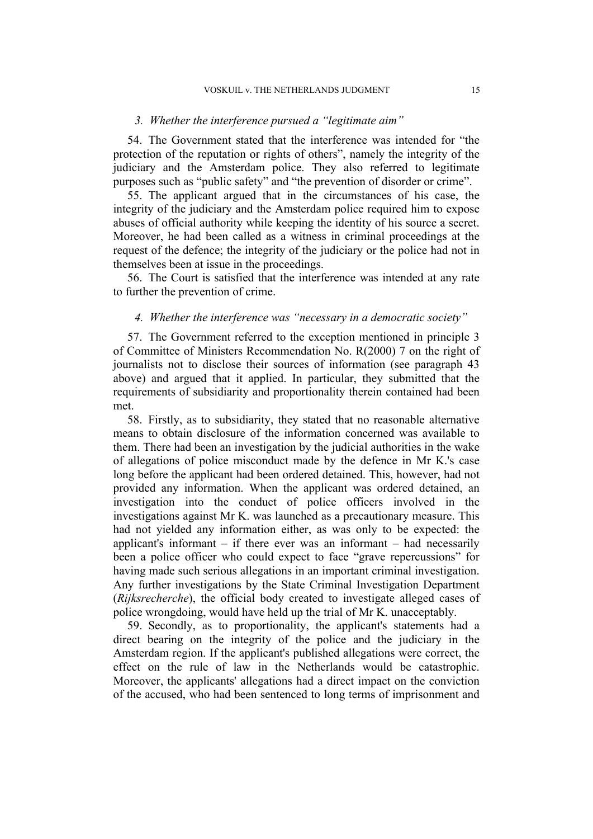#### VOSKUIL v. THE NETHERLANDS JUDGMENT 15

## *3. Whether the interference pursued a "legitimate aim"*

54. The Government stated that the interference was intended for "the protection of the reputation or rights of others", namely the integrity of the judiciary and the Amsterdam police. They also referred to legitimate purposes such as "public safety" and "the prevention of disorder or crime".

55. The applicant argued that in the circumstances of his case, the integrity of the judiciary and the Amsterdam police required him to expose abuses of official authority while keeping the identity of his source a secret. Moreover, he had been called as a witness in criminal proceedings at the request of the defence; the integrity of the judiciary or the police had not in themselves been at issue in the proceedings.

56. The Court is satisfied that the interference was intended at any rate to further the prevention of crime.

# *4. Whether the interference was "necessary in a democratic society"*

57. The Government referred to the exception mentioned in principle 3 of Committee of Ministers Recommendation No. R(2000) 7 on the right of journalists not to disclose their sources of information (see paragraph 43 above) and argued that it applied. In particular, they submitted that the requirements of subsidiarity and proportionality therein contained had been met.

58. Firstly, as to subsidiarity, they stated that no reasonable alternative means to obtain disclosure of the information concerned was available to them. There had been an investigation by the judicial authorities in the wake of allegations of police misconduct made by the defence in Mr K.'s case long before the applicant had been ordered detained. This, however, had not provided any information. When the applicant was ordered detained, an investigation into the conduct of police officers involved in the investigations against Mr K. was launched as a precautionary measure. This had not yielded any information either, as was only to be expected: the applicant's informant – if there ever was an informant – had necessarily been a police officer who could expect to face "grave repercussions" for having made such serious allegations in an important criminal investigation. Any further investigations by the State Criminal Investigation Department (*Rijksrecherche*), the official body created to investigate alleged cases of police wrongdoing, would have held up the trial of Mr K. unacceptably.

59. Secondly, as to proportionality, the applicant's statements had a direct bearing on the integrity of the police and the judiciary in the Amsterdam region. If the applicant's published allegations were correct, the effect on the rule of law in the Netherlands would be catastrophic. Moreover, the applicants' allegations had a direct impact on the conviction of the accused, who had been sentenced to long terms of imprisonment and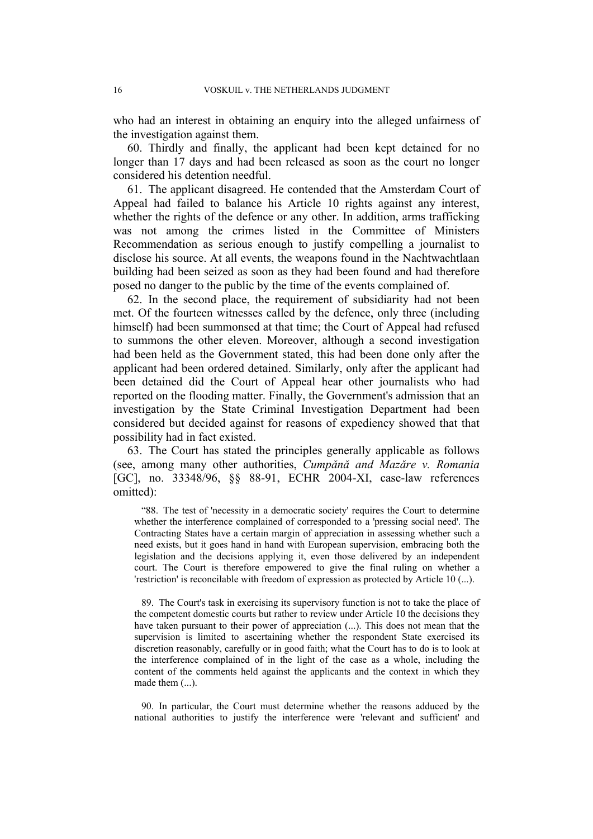who had an interest in obtaining an enquiry into the alleged unfairness of the investigation against them.

60. Thirdly and finally, the applicant had been kept detained for no longer than 17 days and had been released as soon as the court no longer considered his detention needful.

61. The applicant disagreed. He contended that the Amsterdam Court of Appeal had failed to balance his Article 10 rights against any interest, whether the rights of the defence or any other. In addition, arms trafficking was not among the crimes listed in the Committee of Ministers Recommendation as serious enough to justify compelling a journalist to disclose his source. At all events, the weapons found in the Nachtwachtlaan building had been seized as soon as they had been found and had therefore posed no danger to the public by the time of the events complained of.

62. In the second place, the requirement of subsidiarity had not been met. Of the fourteen witnesses called by the defence, only three (including himself) had been summonsed at that time; the Court of Appeal had refused to summons the other eleven. Moreover, although a second investigation had been held as the Government stated, this had been done only after the applicant had been ordered detained. Similarly, only after the applicant had been detained did the Court of Appeal hear other journalists who had reported on the flooding matter. Finally, the Government's admission that an investigation by the State Criminal Investigation Department had been considered but decided against for reasons of expediency showed that that possibility had in fact existed.

63. The Court has stated the principles generally applicable as follows (see, among many other authorities, *Cumpǎnǎ and Mazǎre v. Romania* [GC], no. 33348/96, §§ 88-91, ECHR 2004-XI, case-law references omitted):

"88. The test of 'necessity in a democratic society' requires the Court to determine whether the interference complained of corresponded to a 'pressing social need'. The Contracting States have a certain margin of appreciation in assessing whether such a need exists, but it goes hand in hand with European supervision, embracing both the legislation and the decisions applying it, even those delivered by an independent court. The Court is therefore empowered to give the final ruling on whether a 'restriction' is reconcilable with freedom of expression as protected by Article 10 (...).

89. The Court's task in exercising its supervisory function is not to take the place of the competent domestic courts but rather to review under Article 10 the decisions they have taken pursuant to their power of appreciation (...). This does not mean that the supervision is limited to ascertaining whether the respondent State exercised its discretion reasonably, carefully or in good faith; what the Court has to do is to look at the interference complained of in the light of the case as a whole, including the content of the comments held against the applicants and the context in which they made them  $(\dots)$ .

90. In particular, the Court must determine whether the reasons adduced by the national authorities to justify the interference were 'relevant and sufficient' and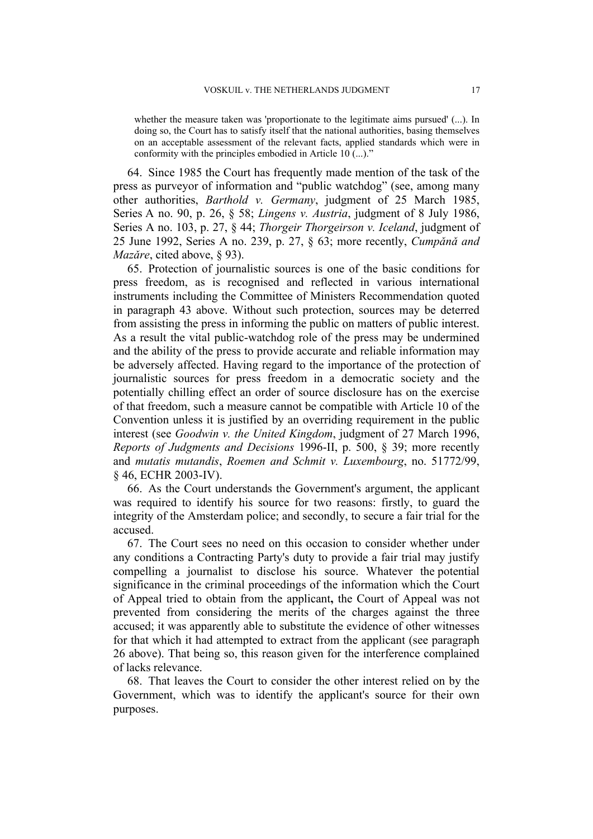whether the measure taken was 'proportionate to the legitimate aims pursued' (...). In doing so, the Court has to satisfy itself that the national authorities, basing themselves on an acceptable assessment of the relevant facts, applied standards which were in conformity with the principles embodied in Article 10 (...)."

64. Since 1985 the Court has frequently made mention of the task of the press as purveyor of information and "public watchdog" (see, among many other authorities, *Barthold v. Germany*, judgment of 25 March 1985, Series A no. 90, p. 26, § 58; *Lingens v. Austria*, judgment of 8 July 1986, Series A no. 103, p. 27, § 44; *Thorgeir Thorgeirson v. Iceland*, judgment of 25 June 1992, Series A no. 239, p. 27, § 63; more recently, *Cumpǎnǎ and Mazǎre*, cited above, § 93).

65. Protection of journalistic sources is one of the basic conditions for press freedom, as is recognised and reflected in various international instruments including the Committee of Ministers Recommendation quoted in paragraph 43 above. Without such protection, sources may be deterred from assisting the press in informing the public on matters of public interest. As a result the vital public-watchdog role of the press may be undermined and the ability of the press to provide accurate and reliable information may be adversely affected. Having regard to the importance of the protection of journalistic sources for press freedom in a democratic society and the potentially chilling effect an order of source disclosure has on the exercise of that freedom, such a measure cannot be compatible with Article 10 of the Convention unless it is justified by an overriding requirement in the public interest (see *Goodwin v. the United Kingdom*, judgment of 27 March 1996, *Reports of Judgments and Decisions* 1996-II, p. 500, § 39; more recently and *mutatis mutandis*, *Roemen and Schmit v. Luxembourg*, no. 51772/99, § 46, ECHR 2003-IV).

66. As the Court understands the Government's argument, the applicant was required to identify his source for two reasons: firstly, to guard the integrity of the Amsterdam police; and secondly, to secure a fair trial for the accused.

67. The Court sees no need on this occasion to consider whether under any conditions a Contracting Party's duty to provide a fair trial may justify compelling a journalist to disclose his source. Whatever the potential significance in the criminal proceedings of the information which the Court of Appeal tried to obtain from the applicant**,** the Court of Appeal was not prevented from considering the merits of the charges against the three accused; it was apparently able to substitute the evidence of other witnesses for that which it had attempted to extract from the applicant (see paragraph 26 above). That being so, this reason given for the interference complained of lacks relevance.

68. That leaves the Court to consider the other interest relied on by the Government, which was to identify the applicant's source for their own purposes.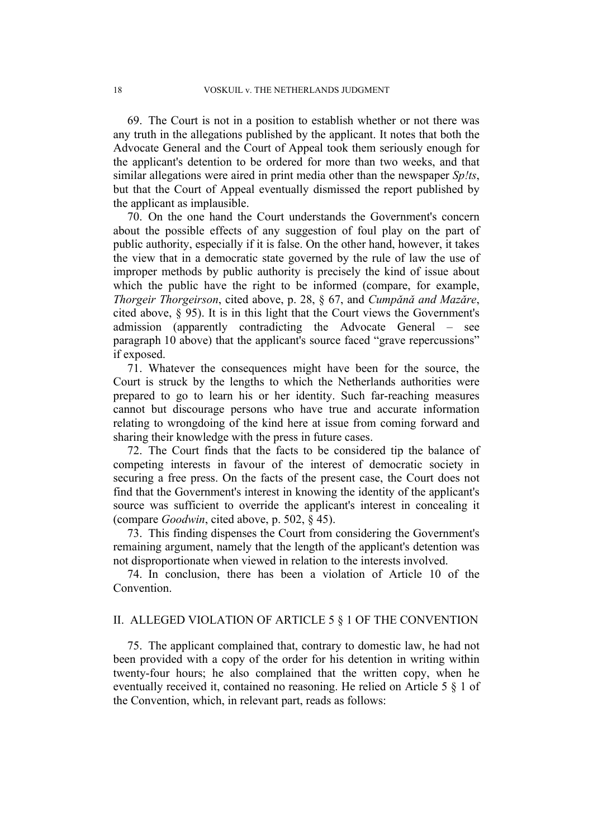69. The Court is not in a position to establish whether or not there was any truth in the allegations published by the applicant. It notes that both the Advocate General and the Court of Appeal took them seriously enough for the applicant's detention to be ordered for more than two weeks, and that similar allegations were aired in print media other than the newspaper *Sp!ts*, but that the Court of Appeal eventually dismissed the report published by the applicant as implausible.

70. On the one hand the Court understands the Government's concern about the possible effects of any suggestion of foul play on the part of public authority, especially if it is false. On the other hand, however, it takes the view that in a democratic state governed by the rule of law the use of improper methods by public authority is precisely the kind of issue about which the public have the right to be informed (compare, for example, *Thorgeir Thorgeirson*, cited above, p. 28, § 67, and *Cumpǎnǎ and Mazǎre*, cited above, § 95). It is in this light that the Court views the Government's admission (apparently contradicting the Advocate General – see paragraph 10 above) that the applicant's source faced "grave repercussions" if exposed.

71. Whatever the consequences might have been for the source, the Court is struck by the lengths to which the Netherlands authorities were prepared to go to learn his or her identity. Such far-reaching measures cannot but discourage persons who have true and accurate information relating to wrongdoing of the kind here at issue from coming forward and sharing their knowledge with the press in future cases.

72. The Court finds that the facts to be considered tip the balance of competing interests in favour of the interest of democratic society in securing a free press. On the facts of the present case, the Court does not find that the Government's interest in knowing the identity of the applicant's source was sufficient to override the applicant's interest in concealing it (compare *Goodwin*, cited above, p. 502, § 45).

73. This finding dispenses the Court from considering the Government's remaining argument, namely that the length of the applicant's detention was not disproportionate when viewed in relation to the interests involved.

74. In conclusion, there has been a violation of Article 10 of the **Convention** 

# II. ALLEGED VIOLATION OF ARTICLE 5 § 1 OF THE CONVENTION

75. The applicant complained that, contrary to domestic law, he had not been provided with a copy of the order for his detention in writing within twenty-four hours; he also complained that the written copy, when he eventually received it, contained no reasoning. He relied on Article 5 § 1 of the Convention, which, in relevant part, reads as follows: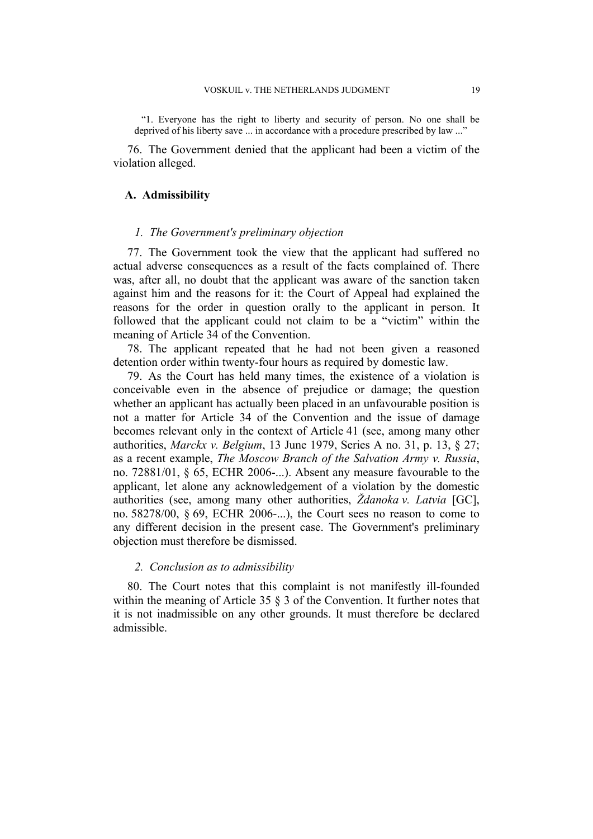"1. Everyone has the right to liberty and security of person. No one shall be deprived of his liberty save ... in accordance with a procedure prescribed by law ..."

76. The Government denied that the applicant had been a victim of the violation alleged.

### **A. Admissibility**

# *1. The Government's preliminary objection*

77. The Government took the view that the applicant had suffered no actual adverse consequences as a result of the facts complained of. There was, after all, no doubt that the applicant was aware of the sanction taken against him and the reasons for it: the Court of Appeal had explained the reasons for the order in question orally to the applicant in person. It followed that the applicant could not claim to be a "victim" within the meaning of Article 34 of the Convention.

78. The applicant repeated that he had not been given a reasoned detention order within twenty-four hours as required by domestic law.

79. As the Court has held many times, the existence of a violation is conceivable even in the absence of prejudice or damage; the question whether an applicant has actually been placed in an unfavourable position is not a matter for Article 34 of the Convention and the issue of damage becomes relevant only in the context of Article 41 (see, among many other authorities, *Marckx v. Belgium*, 13 June 1979, Series A no. 31, p. 13, § 27; as a recent example, *The Moscow Branch of the Salvation Army v. Russia*, no. 72881/01, § 65, ECHR 2006-...). Absent any measure favourable to the applicant, let alone any acknowledgement of a violation by the domestic authorities (see, among many other authorities, *Ždanoka v. Latvia* [GC], no. 58278/00, § 69, ECHR 2006-...), the Court sees no reason to come to any different decision in the present case. The Government's preliminary objection must therefore be dismissed.

## *2. Conclusion as to admissibility*

80. The Court notes that this complaint is not manifestly ill-founded within the meaning of Article 35  $\S$  3 of the Convention. It further notes that it is not inadmissible on any other grounds. It must therefore be declared admissible.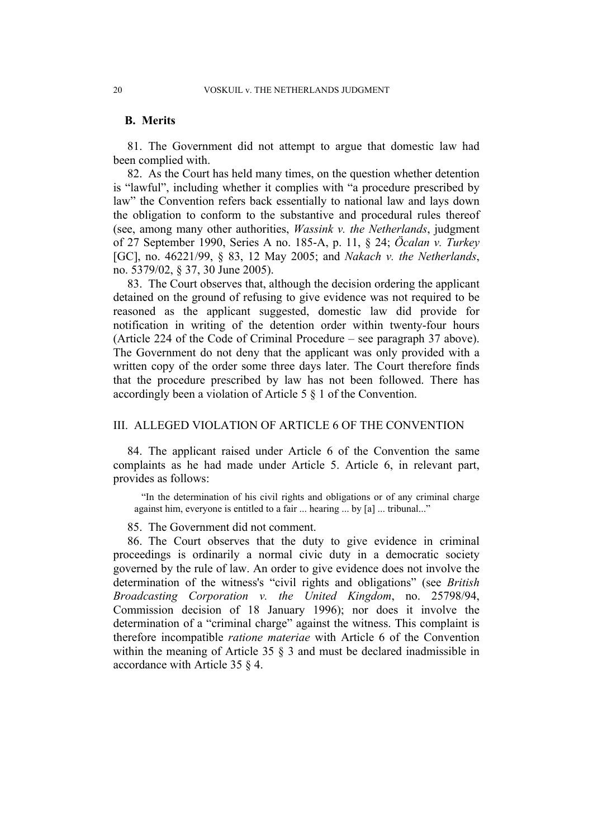# **B. Merits**

81. The Government did not attempt to argue that domestic law had been complied with.

82. As the Court has held many times, on the question whether detention is "lawful", including whether it complies with "a procedure prescribed by law" the Convention refers back essentially to national law and lays down the obligation to conform to the substantive and procedural rules thereof (see, among many other authorities, *Wassink v. the Netherlands*, judgment of 27 September 1990, Series A no. 185-A, p. 11, § 24; *Öcalan v. Turkey* [GC], no. 46221/99, § 83, 12 May 2005; and *Nakach v. the Netherlands*, no. 5379/02, § 37, 30 June 2005).

83. The Court observes that, although the decision ordering the applicant detained on the ground of refusing to give evidence was not required to be reasoned as the applicant suggested, domestic law did provide for notification in writing of the detention order within twenty-four hours (Article 224 of the Code of Criminal Procedure – see paragraph 37 above). The Government do not deny that the applicant was only provided with a written copy of the order some three days later. The Court therefore finds that the procedure prescribed by law has not been followed. There has accordingly been a violation of Article 5 § 1 of the Convention.

## III. ALLEGED VIOLATION OF ARTICLE 6 OF THE CONVENTION

84. The applicant raised under Article 6 of the Convention the same complaints as he had made under Article 5. Article 6, in relevant part, provides as follows:

"In the determination of his civil rights and obligations or of any criminal charge against him, everyone is entitled to a fair ... hearing ... by [a] ... tribunal..."

85. The Government did not comment.

86. The Court observes that the duty to give evidence in criminal proceedings is ordinarily a normal civic duty in a democratic society governed by the rule of law. An order to give evidence does not involve the determination of the witness's "civil rights and obligations" (see *British Broadcasting Corporation v. the United Kingdom*, no. 25798/94, Commission decision of 18 January 1996); nor does it involve the determination of a "criminal charge" against the witness. This complaint is therefore incompatible *ratione materiae* with Article 6 of the Convention within the meaning of Article 35 § 3 and must be declared inadmissible in accordance with Article 35 § 4.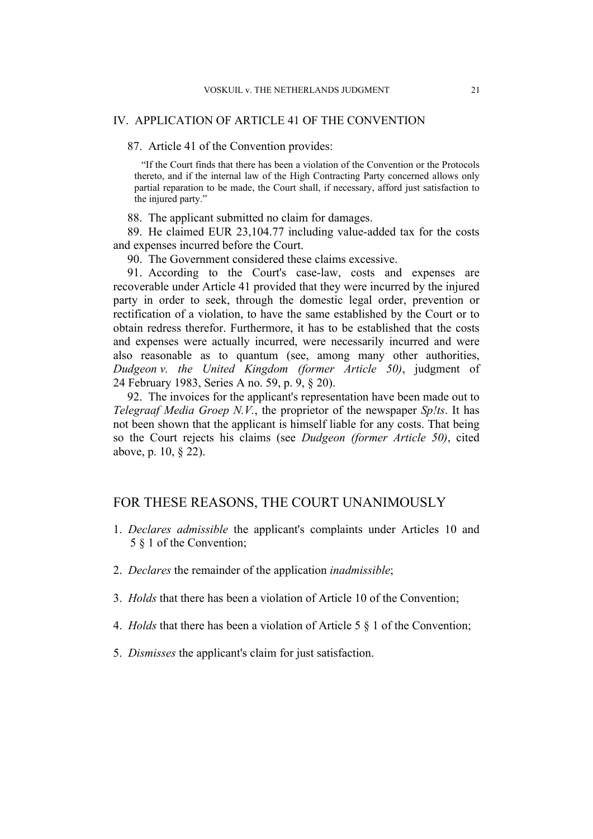# IV. APPLICATION OF ARTICLE 41 OF THE CONVENTION

87. Article 41 of the Convention provides:

"If the Court finds that there has been a violation of the Convention or the Protocols thereto, and if the internal law of the High Contracting Party concerned allows only partial reparation to be made, the Court shall, if necessary, afford just satisfaction to the injured party."

88. The applicant submitted no claim for damages.

89. He claimed EUR 23,104.77 including value-added tax for the costs and expenses incurred before the Court.

90. The Government considered these claims excessive.

91. According to the Court's case-law, costs and expenses are recoverable under Article 41 provided that they were incurred by the injured party in order to seek, through the domestic legal order, prevention or rectification of a violation, to have the same established by the Court or to obtain redress therefor. Furthermore, it has to be established that the costs and expenses were actually incurred, were necessarily incurred and were also reasonable as to quantum (see, among many other authorities, *Dudgeon v. the United Kingdom (former Article 50)*, judgment of 24 February 1983, Series A no. 59, p. 9, § 20).

92. The invoices for the applicant's representation have been made out to *Telegraaf Media Groep N.V.*, the proprietor of the newspaper *Sp!ts*. It has not been shown that the applicant is himself liable for any costs. That being so the Court rejects his claims (see *Dudgeon (former Article 50)*, cited above, p. 10, § 22).

# FOR THESE REASONS, THE COURT UNANIMOUSLY

- 1. *Declares admissible* the applicant's complaints under Articles 10 and 5 § 1 of the Convention;
- 2. *Declares* the remainder of the application *inadmissible*;
- 3. *Holds* that there has been a violation of Article 10 of the Convention;
- 4. *Holds* that there has been a violation of Article 5 § 1 of the Convention;
- 5. *Dismisses* the applicant's claim for just satisfaction.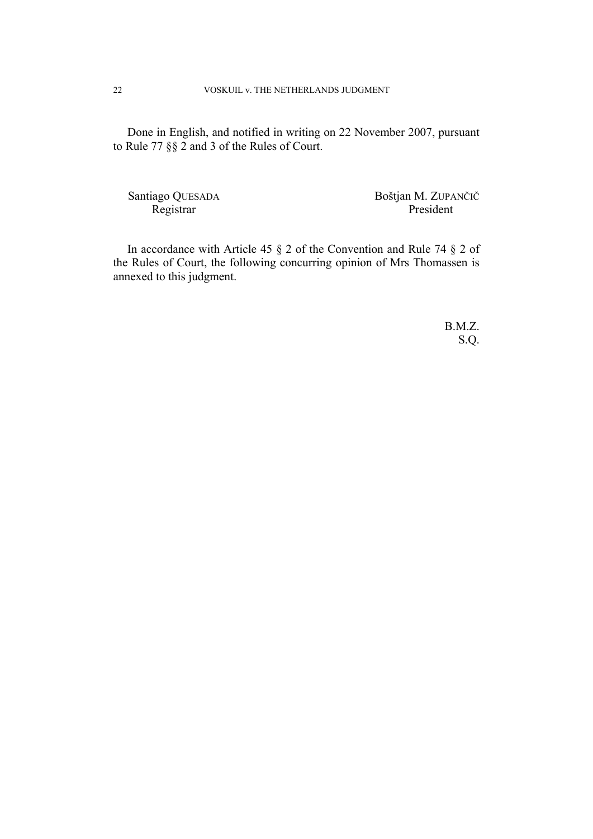Done in English, and notified in writing on 22 November 2007, pursuant to Rule 77 §§ 2 and 3 of the Rules of Court.

Santiago QUESADA Boštjan M. ZUPANČIČ Registrar President

In accordance with Article 45 § 2 of the Convention and Rule 74 § 2 of the Rules of Court, the following concurring opinion of Mrs Thomassen is annexed to this judgment.

> B.M.Z. S.Q.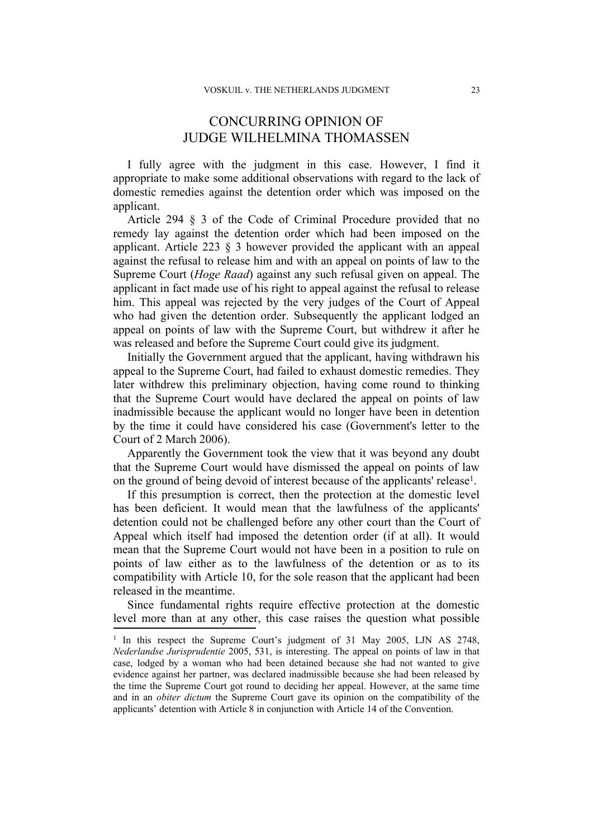# CONCURRING OPINION OF JUDGE WILHELMINA THOMASSEN

I fully agree with the judgment in this case. However, I find it appropriate to make some additional observations with regard to the lack of domestic remedies against the detention order which was imposed on the applicant.

Article 294 § 3 of the Code of Criminal Procedure provided that no remedy lay against the detention order which had been imposed on the applicant. Article 223 § 3 however provided the applicant with an appeal against the refusal to release him and with an appeal on points of law to the Supreme Court (*Hoge Raad*) against any such refusal given on appeal. The applicant in fact made use of his right to appeal against the refusal to release him. This appeal was rejected by the very judges of the Court of Appeal who had given the detention order. Subsequently the applicant lodged an appeal on points of law with the Supreme Court, but withdrew it after he was released and before the Supreme Court could give its judgment.

Initially the Government argued that the applicant, having withdrawn his appeal to the Supreme Court, had failed to exhaust domestic remedies. They later withdrew this preliminary objection, having come round to thinking that the Supreme Court would have declared the appeal on points of law inadmissible because the applicant would no longer have been in detention by the time it could have considered his case (Government's letter to the Court of 2 March 2006).

Apparently the Government took the view that it was beyond any doubt that the Supreme Court would have dismissed the appeal on points of law on the ground of being devoid of interest because of the applicants' release<sup>1</sup>.

If this presumption is correct, then the protection at the domestic level has been deficient. It would mean that the lawfulness of the applicants' detention could not be challenged before any other court than the Court of Appeal which itself had imposed the detention order (if at all). It would mean that the Supreme Court would not have been in a position to rule on points of law either as to the lawfulness of the detention or as to its compatibility with Article 10, for the sole reason that the applicant had been released in the meantime.

Since fundamental rights require effective protection at the domestic level more than at any other, this case raises the question what possible

<sup>&</sup>lt;sup>1</sup> In this respect the Supreme Court's judgment of 31 May 2005, LJN AS 2748, *Nederlandse Jurisprudentie* 2005, 531, is interesting. The appeal on points of law in that case, lodged by a woman who had been detained because she had not wanted to give evidence against her partner, was declared inadmissible because she had been released by the time the Supreme Court got round to deciding her appeal. However, at the same time and in an *obiter dictum* the Supreme Court gave its opinion on the compatibility of the applicants' detention with Article 8 in conjunction with Article 14 of the Convention.